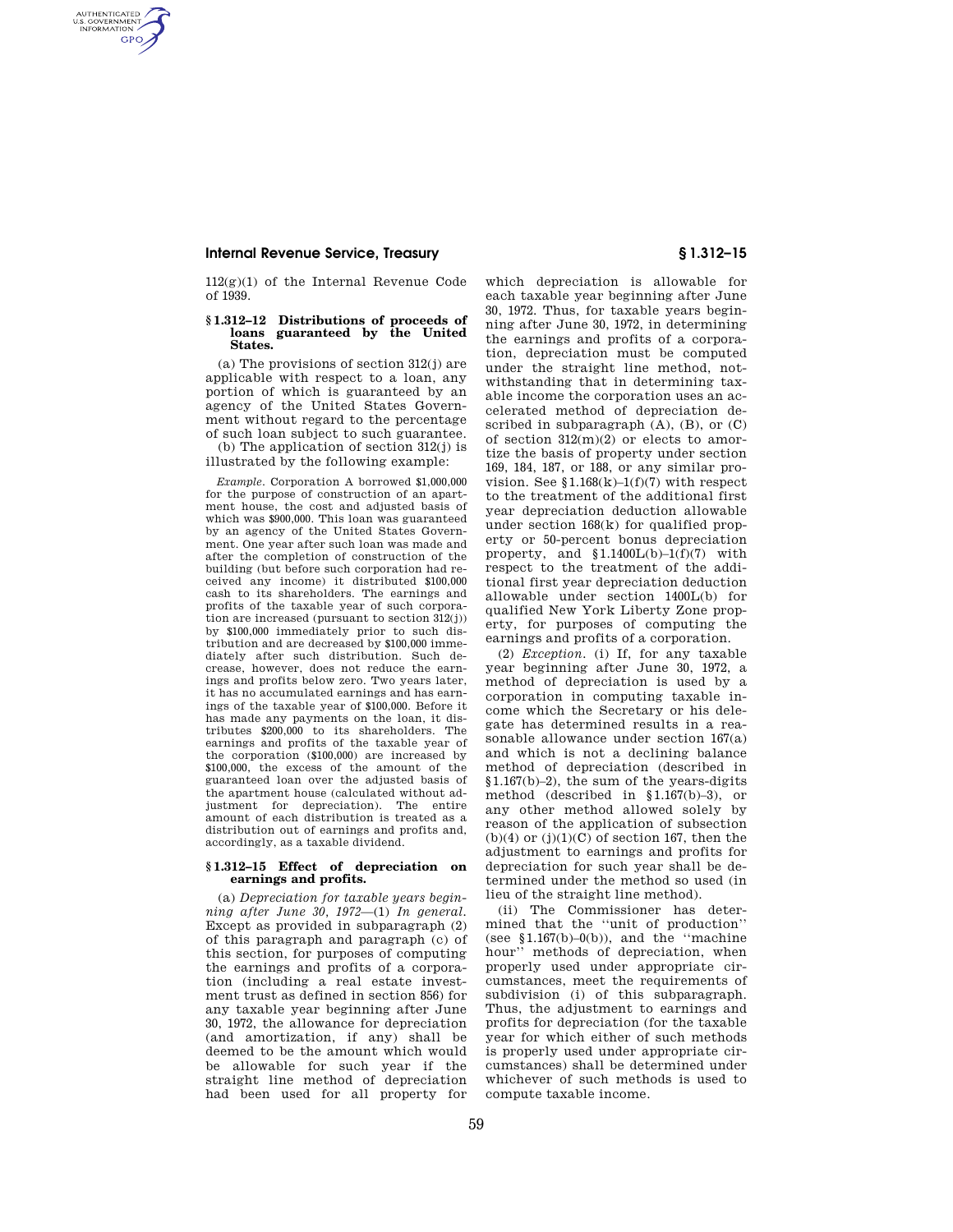## **Internal Revenue Service, Treasury § 1.312–15**

AUTHENTICATED<br>U.S. GOVERNMENT<br>INFORMATION **GPO** 

> 112(g)(1) of the Internal Revenue Code of 1939.

## **§ 1.312–12 Distributions of proceeds of loans guaranteed by the United States.**

 $(a)$  The provisions of section  $312(i)$  are applicable with respect to a loan, any portion of which is guaranteed by an agency of the United States Government without regard to the percentage of such loan subject to such guarantee.

(b) The application of section 312(j) is illustrated by the following example:

*Example.* Corporation A borrowed \$1,000,000 for the purpose of construction of an apartment house, the cost and adjusted basis of which was \$900,000. This loan was guaranteed by an agency of the United States Government. One year after such loan was made and after the completion of construction of the building (but before such corporation had received any income) it distributed \$100,000 cash to its shareholders. The earnings and profits of the taxable year of such corporation are increased (pursuant to section 312(j)) by \$100,000 immediately prior to such distribution and are decreased by \$100,000 immediately after such distribution. Such decrease, however, does not reduce the earnings and profits below zero. Two years later, it has no accumulated earnings and has earnings of the taxable year of \$100,000. Before it has made any payments on the loan, it distributes \$200,000 to its shareholders. The earnings and profits of the taxable year of the corporation (\$100,000) are increased by \$100,000, the excess of the amount of the guaranteed loan over the adjusted basis of the apartment house (calculated without adjustment for depreciation). The entire amount of each distribution is treated as a distribution out of earnings and profits and, accordingly, as a taxable dividend.

## **§ 1.312–15 Effect of depreciation on earnings and profits.**

(a) *Depreciation for taxable years beginning after June 30, 1972*—(1) *In general.*  Except as provided in subparagraph (2) of this paragraph and paragraph (c) of this section, for purposes of computing the earnings and profits of a corporation (including a real estate investment trust as defined in section 856) for any taxable year beginning after June 30, 1972, the allowance for depreciation (and amortization, if any) shall be deemed to be the amount which would be allowable for such year if the straight line method of depreciation had been used for all property for

which depreciation is allowable for each taxable year beginning after June 30, 1972. Thus, for taxable years beginning after June 30, 1972, in determining the earnings and profits of a corporation, depreciation must be computed under the straight line method, notwithstanding that in determining taxable income the corporation uses an accelerated method of depreciation described in subparagraph (A), (B), or (C) of section 312(m)(2) or elects to amortize the basis of property under section 169, 184, 187, or 188, or any similar provision. See  $1.168(k)-1(f)(7)$  with respect to the treatment of the additional first year depreciation deduction allowable under section 168(k) for qualified property or 50-percent bonus depreciation property, and  $$1.1400L(b)-1(f)(7)$  with respect to the treatment of the additional first year depreciation deduction allowable under section 1400L(b) for qualified New York Liberty Zone property, for purposes of computing the earnings and profits of a corporation.

(2) *Exception.* (i) If, for any taxable year beginning after June 30, 1972, a method of depreciation is used by a corporation in computing taxable income which the Secretary or his delegate has determined results in a reasonable allowance under section 167(a) and which is not a declining balance method of depreciation (described in §1.167(b)–2), the sum of the years-digits method (described in §1.167(b)–3), or any other method allowed solely by reason of the application of subsection  $(b)(4)$  or  $(j)(1)(C)$  of section 167, then the adjustment to earnings and profits for depreciation for such year shall be determined under the method so used (in lieu of the straight line method).

(ii) The Commissioner has determined that the ''unit of production'' (see  $$1.167(b)-0(b)$ ), and the "machine hour'' methods of depreciation, when properly used under appropriate circumstances, meet the requirements of subdivision (i) of this subparagraph. Thus, the adjustment to earnings and profits for depreciation (for the taxable year for which either of such methods is properly used under appropriate circumstances) shall be determined under whichever of such methods is used to compute taxable income.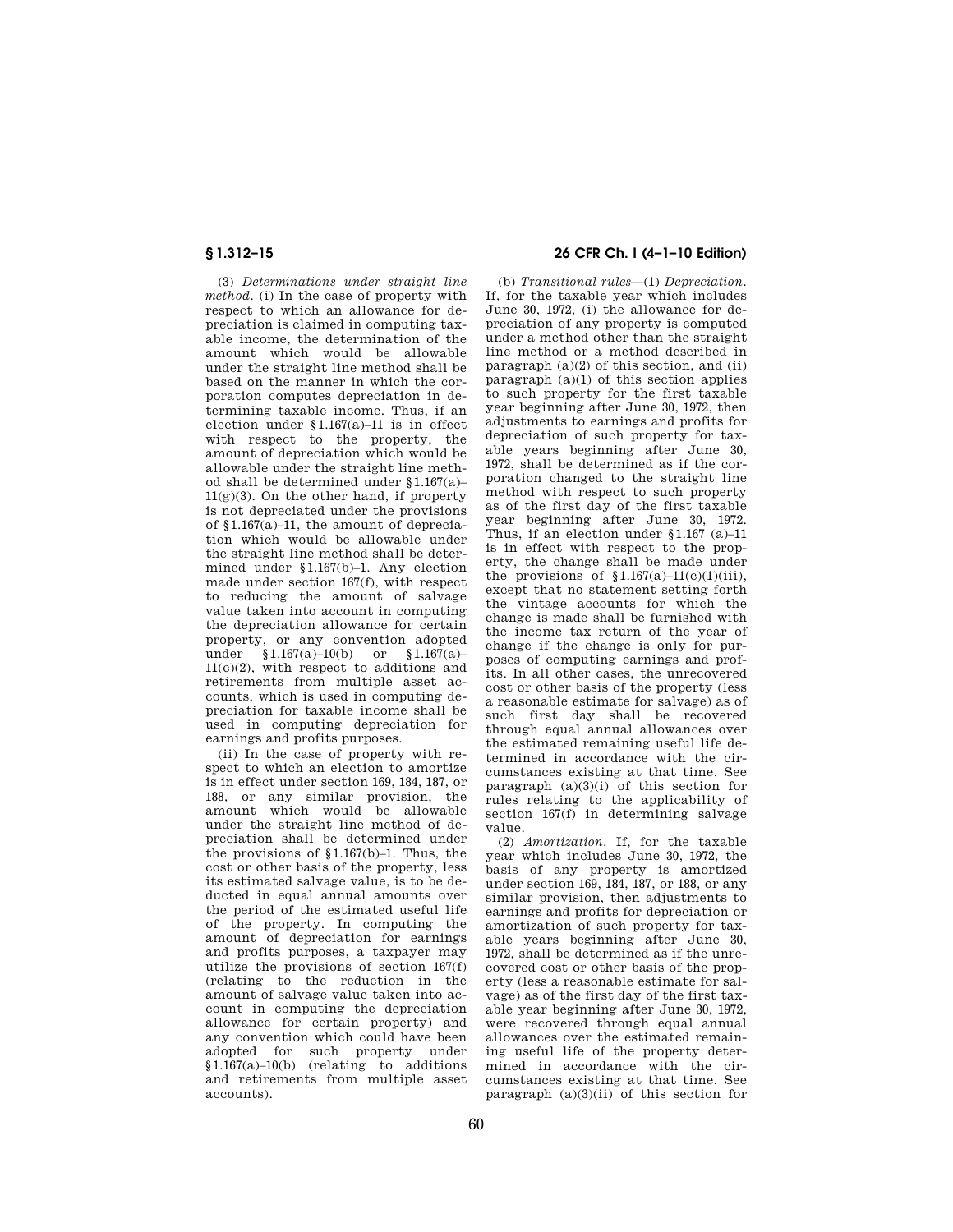(3) *Determinations under straight line method.* (i) In the case of property with respect to which an allowance for depreciation is claimed in computing taxable income, the determination of the amount which would be allowable under the straight line method shall be based on the manner in which the corporation computes depreciation in determining taxable income. Thus, if an election under §1.167(a)–11 is in effect with respect to the property, the amount of depreciation which would be allowable under the straight line method shall be determined under §1.167(a)–  $11(g)(3)$ . On the other hand, if property is not depreciated under the provisions of §1.167(a)–11, the amount of depreciation which would be allowable under the straight line method shall be determined under §1.167(b)–1. Any election made under section 167(f), with respect to reducing the amount of salvage value taken into account in computing the depreciation allowance for certain property, or any convention adopted under §1.167(a)–10(b) or §1.167(a)– 11(c)(2), with respect to additions and retirements from multiple asset accounts, which is used in computing depreciation for taxable income shall be used in computing depreciation for earnings and profits purposes.

(ii) In the case of property with respect to which an election to amortize is in effect under section 169, 184, 187, or 188, or any similar provision, the amount which would be allowable under the straight line method of depreciation shall be determined under the provisions of  $$1.167(b)-1$ . Thus, the cost or other basis of the property, less its estimated salvage value, is to be deducted in equal annual amounts over the period of the estimated useful life of the property. In computing the amount of depreciation for earnings and profits purposes, a taxpayer may utilize the provisions of section 167(f) (relating to the reduction in the amount of salvage value taken into account in computing the depreciation allowance for certain property) and any convention which could have been adopted for such property under §1.167(a)–10(b) (relating to additions and retirements from multiple asset accounts).

# **§ 1.312–15 26 CFR Ch. I (4–1–10 Edition)**

(b) *Transitional rules*—(1) *Depreciation.*  If, for the taxable year which includes June 30, 1972, (i) the allowance for depreciation of any property is computed under a method other than the straight line method or a method described in paragraph  $(a)(2)$  of this section, and  $(ii)$ paragraph  $(a)(1)$  of this section applies to such property for the first taxable year beginning after June 30, 1972, then adjustments to earnings and profits for depreciation of such property for taxable years beginning after June 30, 1972, shall be determined as if the corporation changed to the straight line method with respect to such property as of the first day of the first taxable year beginning after June 30, 1972. Thus, if an election under §1.167 (a)–11 is in effect with respect to the property, the change shall be made under the provisions of  $$1.167(a)-11(c)(1)(iii)$ , except that no statement setting forth the vintage accounts for which the change is made shall be furnished with the income tax return of the year of change if the change is only for purposes of computing earnings and profits. In all other cases, the unrecovered cost or other basis of the property (less a reasonable estimate for salvage) as of such first day shall be recovered through equal annual allowances over the estimated remaining useful life determined in accordance with the circumstances existing at that time. See paragraph  $(a)(3)(i)$  of this section for rules relating to the applicability of section 167(f) in determining salvage value.

(2) *Amortization.* If, for the taxable year which includes June 30, 1972, the basis of any property is amortized under section 169, 184, 187, or 188, or any similar provision, then adjustments to earnings and profits for depreciation or amortization of such property for taxable years beginning after June 30, 1972, shall be determined as if the unrecovered cost or other basis of the property (less a reasonable estimate for salvage) as of the first day of the first taxable year beginning after June 30, 1972, were recovered through equal annual allowances over the estimated remaining useful life of the property determined in accordance with the circumstances existing at that time. See paragraph  $(a)(3)(ii)$  of this section for